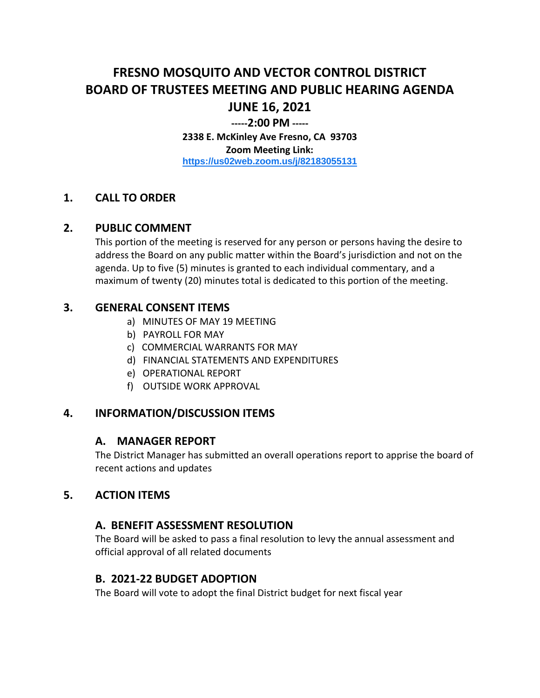# **FRESNO MOSQUITO AND VECTOR CONTROL DISTRICT BOARD OF TRUSTEES MEETING AND PUBLIC HEARING AGENDA JUNE 16, 2021**

#### **-----2:00 PM -----**

**2338 E. McKinley Ave Fresno, CA 93703 Zoom Meeting Link: <https://us02web.zoom.us/j/82183055131>**

#### **1. CALL TO ORDER**

#### **2. PUBLIC COMMENT**

This portion of the meeting is reserved for any person or persons having the desire to address the Board on any public matter within the Board's jurisdiction and not on the agenda. Up to five (5) minutes is granted to each individual commentary, and a maximum of twenty (20) minutes total is dedicated to this portion of the meeting.

#### **3. GENERAL CONSENT ITEMS**

- a) MINUTES OF MAY 19 MEETING
- b) PAYROLL FOR MAY
- c) COMMERCIAL WARRANTS FOR MAY
- d) FINANCIAL STATEMENTS AND EXPENDITURES
- e) OPERATIONAL REPORT
- f) OUTSIDE WORK APPROVAL

#### **4. INFORMATION/DISCUSSION ITEMS**

#### **A. MANAGER REPORT**

The District Manager has submitted an overall operations report to apprise the board of recent actions and updates

#### **5. ACTION ITEMS**

#### **A. BENEFIT ASSESSMENT RESOLUTION**

The Board will be asked to pass a final resolution to levy the annual assessment and official approval of all related documents

#### **B. 2021-22 BUDGET ADOPTION**

The Board will vote to adopt the final District budget for next fiscal year